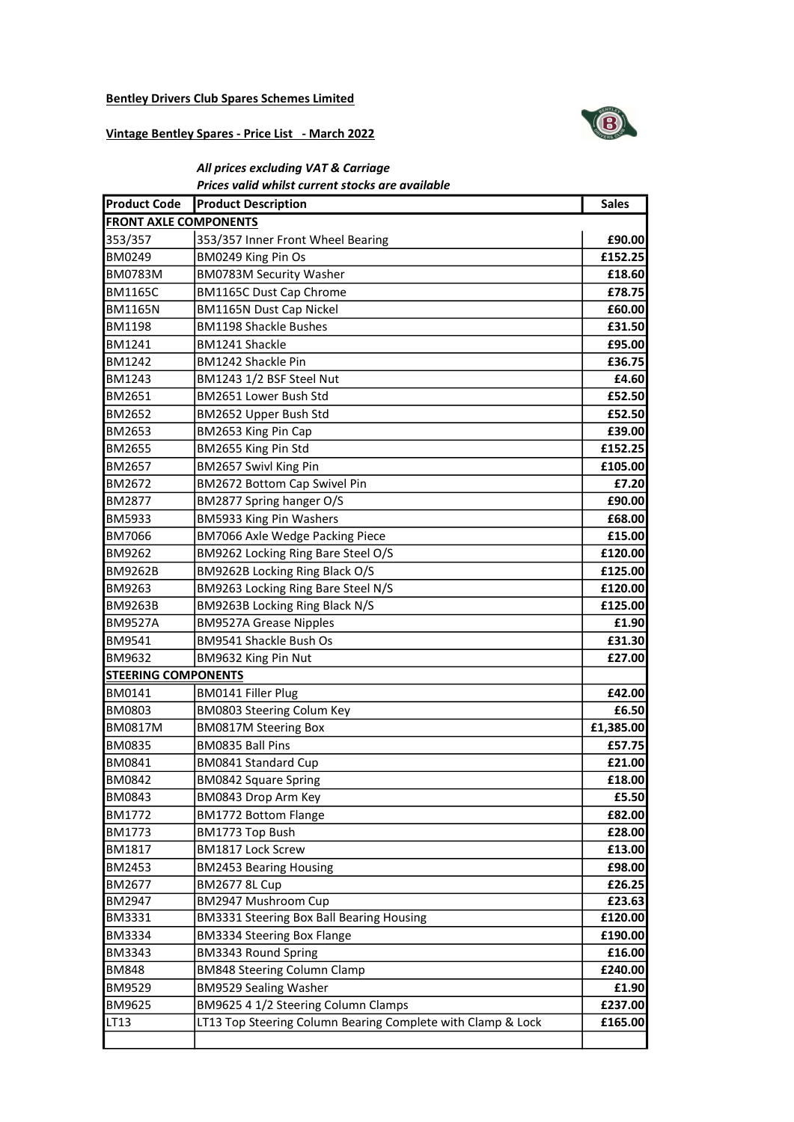## Bentley Drivers Club Spares Schemes Limited



## Vintage Bentley Spares - Price List - March 2022

## All prices excluding VAT & Carriage Prices valid whilst current stocks are available

| <b>Product Code</b>          | <b>Product Description</b>                                  | <b>Sales</b> |
|------------------------------|-------------------------------------------------------------|--------------|
| <b>FRONT AXLE COMPONENTS</b> |                                                             |              |
| 353/357                      | 353/357 Inner Front Wheel Bearing                           | £90.00       |
| <b>BM0249</b>                | BM0249 King Pin Os                                          | £152.25      |
| <b>BM0783M</b>               | <b>BM0783M Security Washer</b>                              | £18.60       |
| <b>BM1165C</b>               | <b>BM1165C Dust Cap Chrome</b>                              | £78.75       |
| <b>BM1165N</b>               | <b>BM1165N Dust Cap Nickel</b>                              | £60.00       |
| <b>BM1198</b>                | <b>BM1198 Shackle Bushes</b>                                | £31.50       |
| <b>BM1241</b>                | <b>BM1241 Shackle</b>                                       | £95.00       |
| IBM1242                      | BM1242 Shackle Pin                                          | £36.75       |
| <b>BM1243</b>                | BM1243 1/2 BSF Steel Nut                                    | £4.60        |
| <b>BM2651</b>                | BM2651 Lower Bush Std                                       | £52.50       |
| <b>BM2652</b>                | BM2652 Upper Bush Std                                       | £52.50       |
| IBM2653                      | BM2653 King Pin Cap                                         | £39.00       |
| <b>BM2655</b>                | BM2655 King Pin Std                                         | £152.25      |
| <b>BM2657</b>                | BM2657 Swivl King Pin                                       | £105.00      |
| <b>BM2672</b>                | BM2672 Bottom Cap Swivel Pin                                | £7.20        |
| <b>BM2877</b>                | BM2877 Spring hanger O/S                                    | £90.00       |
| <b>BM5933</b>                | BM5933 King Pin Washers                                     | £68.00       |
| <b>BM7066</b>                | BM7066 Axle Wedge Packing Piece                             | £15.00       |
| IBM9262                      | BM9262 Locking Ring Bare Steel O/S                          | £120.00      |
| <b>BM9262B</b>               | BM9262B Locking Ring Black O/S                              | £125.00      |
| <b>BM9263</b>                | BM9263 Locking Ring Bare Steel N/S                          | £120.00      |
| <b>BM9263B</b>               | BM9263B Locking Ring Black N/S                              | £125.00      |
| <b>BM9527A</b>               | <b>BM9527A Grease Nipples</b>                               | £1.90        |
| <b>BM9541</b>                | BM9541 Shackle Bush Os                                      | £31.30       |
| <b>BM9632</b>                | BM9632 King Pin Nut                                         | £27.00       |
| <b>STEERING COMPONENTS</b>   |                                                             |              |
| BM0141                       | <b>BM0141 Filler Plug</b>                                   | £42.00       |
| <b>BM0803</b>                | BM0803 Steering Colum Key                                   | £6.50        |
| <b>BM0817M</b>               | <b>BM0817M Steering Box</b>                                 | £1,385.00    |
| <b>BM0835</b>                | BM0835 Ball Pins                                            | £57.75       |
| <b>BM0841</b>                | BM0841 Standard Cup                                         | £21.00       |
| <b>BM0842</b>                | <b>BM0842 Square Spring</b>                                 | £18.00       |
| <b>BM0843</b>                | BM0843 Drop Arm Key                                         | £5.50        |
| <b>BM1772</b>                | <b>BM1772 Bottom Flange</b>                                 | £82.00       |
| BM1773                       | BM1773 Top Bush                                             | £28.00       |
| BM1817                       | BM1817 Lock Screw                                           | £13.00       |
| <b>BM2453</b>                | <b>BM2453 Bearing Housing</b>                               | £98.00       |
| BM2677                       | <b>BM2677 8L Cup</b>                                        | £26.25       |
| <b>BM2947</b>                | BM2947 Mushroom Cup                                         | £23.63       |
| <b>BM3331</b>                | BM3331 Steering Box Ball Bearing Housing                    | £120.00      |
| <b>BM3334</b>                | <b>BM3334 Steering Box Flange</b>                           | £190.00      |
| BM3343                       | BM3343 Round Spring                                         | £16.00       |
| <b>BM848</b>                 | <b>BM848 Steering Column Clamp</b>                          | £240.00      |
| <b>BM9529</b>                | <b>BM9529 Sealing Washer</b>                                | £1.90        |
| <b>BM9625</b>                | BM9625 4 1/2 Steering Column Clamps                         | £237.00      |
| LT13                         | LT13 Top Steering Column Bearing Complete with Clamp & Lock | £165.00      |
|                              |                                                             |              |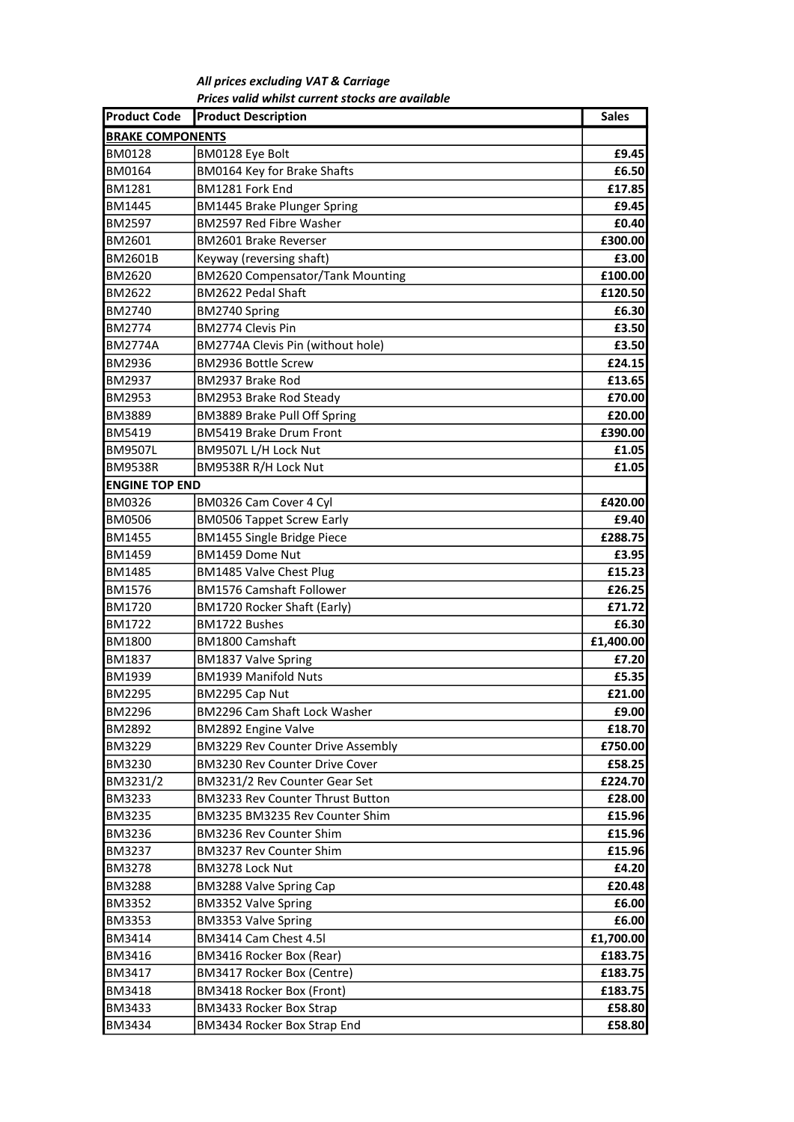All prices excluding VAT & Carriage Prices valid whilst current stocks are available

| <b>Product Code</b>     | <b>Product Description</b>              | <b>Sales</b> |
|-------------------------|-----------------------------------------|--------------|
| <b>BRAKE COMPONENTS</b> |                                         |              |
| BM0128                  | BM0128 Eye Bolt                         | £9.45        |
| BM0164                  | BM0164 Key for Brake Shafts             | £6.50        |
| <b>BM1281</b>           | BM1281 Fork End                         | £17.85       |
| BM1445                  | <b>BM1445 Brake Plunger Spring</b>      | £9.45        |
| BM2597                  | <b>BM2597 Red Fibre Washer</b>          | £0.40        |
| BM2601                  | <b>BM2601 Brake Reverser</b>            | £300.00      |
| <b>BM2601B</b>          | Keyway (reversing shaft)                | £3.00        |
| BM2620                  | <b>BM2620 Compensator/Tank Mounting</b> | £100.00      |
| BM2622                  | BM2622 Pedal Shaft                      | £120.50      |
| BM2740                  | BM2740 Spring                           | £6.30        |
| BM2774                  | BM2774 Clevis Pin                       | £3.50        |
| <b>BM2774A</b>          | BM2774A Clevis Pin (without hole)       | £3.50        |
| BM2936                  | <b>BM2936 Bottle Screw</b>              | £24.15       |
| <b>BM2937</b>           | BM2937 Brake Rod                        | £13.65       |
| BM2953                  | BM2953 Brake Rod Steady                 | £70.00       |
| BM3889                  | BM3889 Brake Pull Off Spring            | £20.00       |
| BM5419                  | <b>BM5419 Brake Drum Front</b>          | £390.00      |
| <b>BM9507L</b>          | BM9507L L/H Lock Nut                    | £1.05        |
| <b>BM9538R</b>          | BM9538R R/H Lock Nut                    | £1.05        |
| <b>ENGINE TOP END</b>   |                                         |              |
| BM0326                  | BM0326 Cam Cover 4 Cyl                  | £420.00      |
| <b>BM0506</b>           | <b>BM0506 Tappet Screw Early</b>        | £9.40        |
| BM1455                  | <b>BM1455 Single Bridge Piece</b>       | £288.75      |
| BM1459                  | BM1459 Dome Nut                         | £3.95        |
| <b>BM1485</b>           | <b>BM1485 Valve Chest Plug</b>          | £15.23       |
| BM1576                  | <b>BM1576 Camshaft Follower</b>         | £26.25       |
| BM1720                  | BM1720 Rocker Shaft (Early)             | £71.72       |
| <b>BM1722</b>           | BM1722 Bushes                           | £6.30        |
| <b>BM1800</b>           | BM1800 Camshaft                         | £1,400.00    |
| <b>BM1837</b>           | <b>BM1837 Valve Spring</b>              | £7.20        |
| <b>BM1939</b>           | <b>BM1939 Manifold Nuts</b>             | £5.35        |
| <b>BM2295</b>           | BM2295 Cap Nut                          | £21.00       |
| BM2296                  | BM2296 Cam Shaft Lock Washer            | £9.00        |
| BM2892                  | BM2892 Engine Valve                     | £18.70       |
| BM3229                  | BM3229 Rev Counter Drive Assembly       | £750.00      |
| <b>BM3230</b>           | BM3230 Rev Counter Drive Cover          | £58.25       |
| BM3231/2                | BM3231/2 Rev Counter Gear Set           | £224.70      |
| BM3233                  | <b>BM3233 Rev Counter Thrust Button</b> | £28.00       |
| BM3235                  | BM3235 BM3235 Rev Counter Shim          | £15.96       |
| BM3236                  | BM3236 Rev Counter Shim                 | £15.96       |
| BM3237                  | BM3237 Rev Counter Shim                 | £15.96       |
| <b>BM3278</b>           | BM3278 Lock Nut                         | £4.20        |
| BM3288                  | BM3288 Valve Spring Cap                 | £20.48       |
| <b>BM3352</b>           | <b>BM3352 Valve Spring</b>              | £6.00        |
| BM3353                  | <b>BM3353 Valve Spring</b>              | £6.00        |
| BM3414                  | BM3414 Cam Chest 4.5I                   | £1,700.00    |
| BM3416                  | BM3416 Rocker Box (Rear)                | £183.75      |
| BM3417                  | BM3417 Rocker Box (Centre)              | £183.75      |
| BM3418                  | BM3418 Rocker Box (Front)               | £183.75      |
| BM3433                  | BM3433 Rocker Box Strap                 | £58.80       |
| BM3434                  | BM3434 Rocker Box Strap End             | £58.80       |
|                         |                                         |              |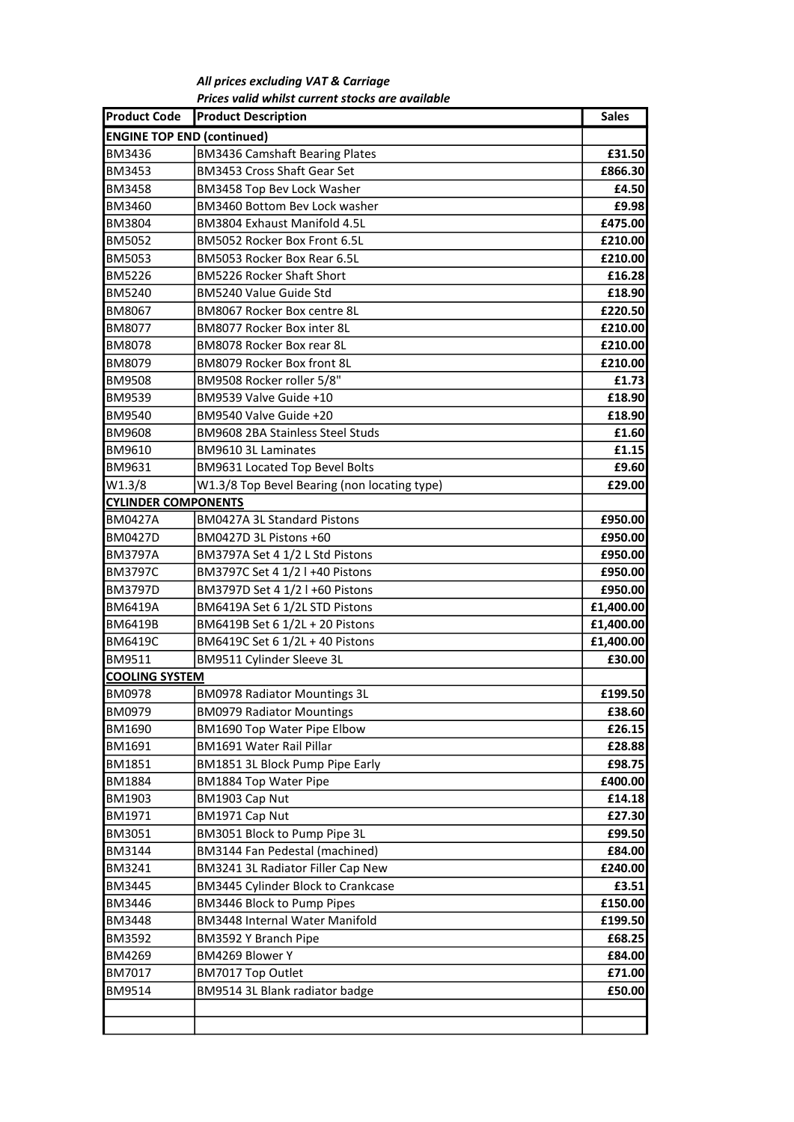All prices excluding VAT & Carriage Prices valid whilst current stocks are available

| <b>Product Code</b>               | <b>Product Description</b>                   | <b>Sales</b> |
|-----------------------------------|----------------------------------------------|--------------|
| <b>ENGINE TOP END (continued)</b> |                                              |              |
| <b>BM3436</b>                     | <b>BM3436 Camshaft Bearing Plates</b>        | £31.50       |
| <b>BM3453</b>                     | BM3453 Cross Shaft Gear Set                  | £866.30      |
| <b>BM3458</b>                     | BM3458 Top Bev Lock Washer                   | £4.50        |
| <b>BM3460</b>                     | BM3460 Bottom Bev Lock washer                | £9.98        |
| <b>BM3804</b>                     | BM3804 Exhaust Manifold 4.5L                 | £475.00      |
| <b>BM5052</b>                     | BM5052 Rocker Box Front 6.5L                 | £210.00      |
| <b>BM5053</b>                     | BM5053 Rocker Box Rear 6.5L                  | £210.00      |
| <b>BM5226</b>                     | <b>BM5226 Rocker Shaft Short</b>             | £16.28       |
| <b>BM5240</b>                     | BM5240 Value Guide Std                       | £18.90       |
| <b>BM8067</b>                     | BM8067 Rocker Box centre 8L                  | £220.50      |
| <b>BM8077</b>                     | BM8077 Rocker Box inter 8L                   | £210.00      |
| IBM8078                           | BM8078 Rocker Box rear 8L                    | £210.00      |
| <b>BM8079</b>                     | BM8079 Rocker Box front 8L                   | £210.00      |
| <b>BM9508</b>                     | BM9508 Rocker roller 5/8"                    | £1.73        |
| <b>BM9539</b>                     | BM9539 Valve Guide +10                       | £18.90       |
| <b>BM9540</b>                     | BM9540 Valve Guide +20                       | £18.90       |
| <b>BM9608</b>                     | <b>BM9608 2BA Stainless Steel Studs</b>      | £1.60        |
| <b>BM9610</b>                     | BM9610 3L Laminates                          | £1.15        |
| IBM9631                           | BM9631 Located Top Bevel Bolts               | £9.60        |
| W1.3/8                            | W1.3/8 Top Bevel Bearing (non locating type) | £29.00       |
| <b>CYLINDER COMPONENTS</b>        |                                              |              |
| <b>BM0427A</b>                    | BM0427A 3L Standard Pistons                  | £950.00      |
| <b>BM0427D</b>                    | BM0427D 3L Pistons +60                       | £950.00      |
| <b>BM3797A</b>                    | BM3797A Set 4 1/2 L Std Pistons              | £950.00      |
| <b>BM3797C</b>                    | BM3797C Set 4 1/2 l +40 Pistons              | £950.00      |
| <b>BM3797D</b>                    | BM3797D Set 4 1/2 l +60 Pistons              | £950.00      |
| IBM6419A                          | BM6419A Set 6 1/2L STD Pistons               | £1,400.00    |
| <b>BM6419B</b>                    | BM6419B Set 6 1/2L + 20 Pistons              | £1,400.00    |
| <b>BM6419C</b>                    | BM6419C Set 6 1/2L + 40 Pistons              | £1,400.00    |
| <b>BM9511</b>                     | BM9511 Cylinder Sleeve 3L                    | £30.00       |
| <b>COOLING SYSTEM</b>             |                                              |              |
| <b>BM0978</b>                     | <b>BM0978 Radiator Mountings 3L</b>          | £199.50      |
| <b>BM0979</b>                     | <b>BM0979 Radiator Mountings</b>             | £38.60       |
| <b>BM1690</b>                     | BM1690 Top Water Pipe Elbow                  | £26.15       |
| BM1691                            | BM1691 Water Rail Pillar                     | £28.88       |
| <b>BM1851</b>                     | BM1851 3L Block Pump Pipe Early              | £98.75       |
| <b>BM1884</b>                     | BM1884 Top Water Pipe                        | £400.00      |
| <b>BM1903</b>                     | BM1903 Cap Nut                               | £14.18       |
| <b>BM1971</b>                     | BM1971 Cap Nut                               | £27.30       |
| BM3051                            | BM3051 Block to Pump Pipe 3L                 | £99.50       |
| BM3144                            | BM3144 Fan Pedestal (machined)               | £84.00       |
| <b>BM3241</b>                     | BM3241 3L Radiator Filler Cap New            | £240.00      |
| <b>BM3445</b>                     | BM3445 Cylinder Block to Crankcase           | £3.51        |
| <b>BM3446</b>                     | BM3446 Block to Pump Pipes                   | £150.00      |
| <b>BM3448</b>                     | <b>BM3448 Internal Water Manifold</b>        | £199.50      |
| BM3592                            | BM3592 Y Branch Pipe                         | £68.25       |
| <b>BM4269</b>                     | BM4269 Blower Y                              | £84.00       |
| <b>BM7017</b>                     | BM7017 Top Outlet                            | £71.00       |
| <b>BM9514</b>                     | BM9514 3L Blank radiator badge               | £50.00       |
|                                   |                                              |              |
|                                   |                                              |              |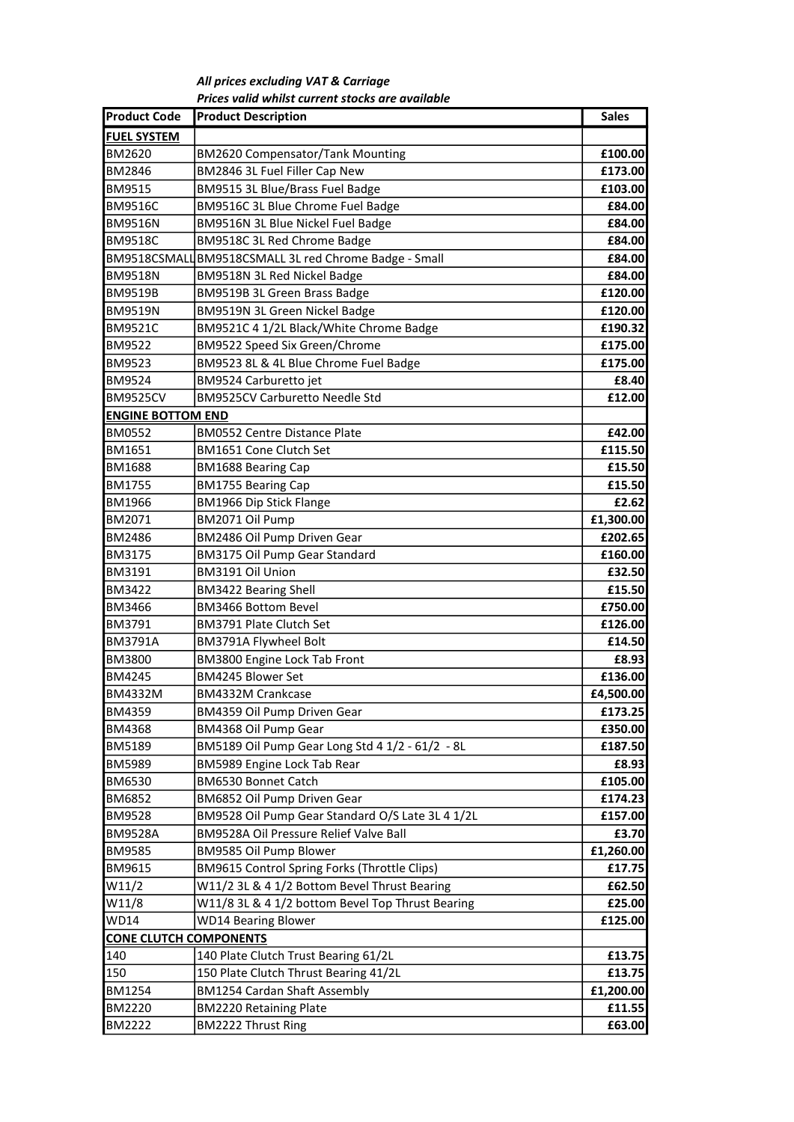All prices excluding VAT & Carriage Prices valid whilst current stocks are available

| <b>Product Code</b>           | <b>Product Description</b>                            | <b>Sales</b> |
|-------------------------------|-------------------------------------------------------|--------------|
| <b>FUEL SYSTEM</b>            |                                                       |              |
| <b>BM2620</b>                 | <b>BM2620 Compensator/Tank Mounting</b>               | £100.00      |
| <b>BM2846</b>                 | BM2846 3L Fuel Filler Cap New                         | £173.00      |
| <b>BM9515</b>                 | BM9515 3L Blue/Brass Fuel Badge                       | £103.00      |
| <b>BM9516C</b>                | BM9516C 3L Blue Chrome Fuel Badge                     | £84.00       |
| <b>BM9516N</b>                | BM9516N 3L Blue Nickel Fuel Badge                     | £84.00       |
| <b>BM9518C</b>                | BM9518C 3L Red Chrome Badge                           | £84.00       |
|                               | BM9518CSMALL BM9518CSMALL 3L red Chrome Badge - Small | £84.00       |
| <b>BM9518N</b>                | BM9518N 3L Red Nickel Badge                           | £84.00       |
| <b>BM9519B</b>                | BM9519B 3L Green Brass Badge                          | £120.00      |
| <b>BM9519N</b>                | BM9519N 3L Green Nickel Badge                         | £120.00      |
| <b>BM9521C</b>                | BM9521C 4 1/2L Black/White Chrome Badge               | £190.32      |
| <b>BM9522</b>                 | BM9522 Speed Six Green/Chrome                         | £175.00      |
| <b>BM9523</b>                 | BM9523 8L & 4L Blue Chrome Fuel Badge                 | £175.00      |
| <b>BM9524</b>                 | BM9524 Carburetto jet                                 | £8.40        |
| <b>BM9525CV</b>               | <b>BM9525CV Carburetto Needle Std</b>                 | £12.00       |
| <b>ENGINE BOTTOM END</b>      |                                                       |              |
| <b>BM0552</b>                 | <b>BM0552 Centre Distance Plate</b>                   | £42.00       |
| <b>BM1651</b>                 | <b>BM1651 Cone Clutch Set</b>                         | £115.50      |
| <b>BM1688</b>                 | <b>BM1688 Bearing Cap</b>                             | £15.50       |
| <b>BM1755</b>                 | <b>BM1755 Bearing Cap</b>                             | £15.50       |
| <b>BM1966</b>                 | <b>BM1966 Dip Stick Flange</b>                        | £2.62        |
| BM2071                        | BM2071 Oil Pump                                       | £1,300.00    |
| <b>BM2486</b>                 | BM2486 Oil Pump Driven Gear                           | £202.65      |
| <b>BM3175</b>                 | BM3175 Oil Pump Gear Standard                         | £160.00      |
| BM3191                        | BM3191 Oil Union                                      | £32.50       |
| <b>BM3422</b>                 | <b>BM3422 Bearing Shell</b>                           | £15.50       |
| <b>BM3466</b>                 | <b>BM3466 Bottom Bevel</b>                            | £750.00      |
| <b>BM3791</b>                 | BM3791 Plate Clutch Set                               | £126.00      |
| IBM3791A                      | BM3791A Flywheel Bolt                                 | £14.50       |
| <b>BM3800</b>                 | <b>BM3800 Engine Lock Tab Front</b>                   | £8.93        |
| <b>BM4245</b>                 | BM4245 Blower Set                                     | £136.00      |
| <b>BM4332M</b>                | BM4332M Crankcase                                     | £4,500.00    |
| <b>BM4359</b>                 | BM4359 Oil Pump Driven Gear                           | £173.25      |
| BM4368                        | BM4368 Oil Pump Gear                                  | £350.00      |
| <b>BM5189</b>                 | BM5189 Oil Pump Gear Long Std 4 1/2 - 61/2 - 8L       | £187.50      |
| BM5989                        | BM5989 Engine Lock Tab Rear                           | £8.93        |
| <b>BM6530</b>                 | BM6530 Bonnet Catch                                   | £105.00      |
| <b>BM6852</b>                 | BM6852 Oil Pump Driven Gear                           | £174.23      |
| <b>BM9528</b>                 | BM9528 Oil Pump Gear Standard O/S Late 3L 4 1/2L      | £157.00      |
| <b>BM9528A</b>                | BM9528A Oil Pressure Relief Valve Ball                | £3.70        |
| <b>BM9585</b>                 | BM9585 Oil Pump Blower                                | £1,260.00    |
| <b>BM9615</b>                 | BM9615 Control Spring Forks (Throttle Clips)          | £17.75       |
| W11/2                         | W11/2 3L & 4 1/2 Bottom Bevel Thrust Bearing          | £62.50       |
| W11/8                         | W11/8 3L & 4 1/2 bottom Bevel Top Thrust Bearing      | £25.00       |
| <b>WD14</b>                   | <b>WD14 Bearing Blower</b>                            | £125.00      |
| <b>CONE CLUTCH COMPONENTS</b> |                                                       |              |
| 140                           | 140 Plate Clutch Trust Bearing 61/2L                  | £13.75       |
| 150                           | 150 Plate Clutch Thrust Bearing 41/2L                 | £13.75       |
| <b>BM1254</b>                 | <b>BM1254 Cardan Shaft Assembly</b>                   | £1,200.00    |
| <b>BM2220</b>                 | <b>BM2220 Retaining Plate</b>                         | £11.55       |
| <b>BM2222</b>                 | <b>BM2222 Thrust Ring</b>                             | £63.00       |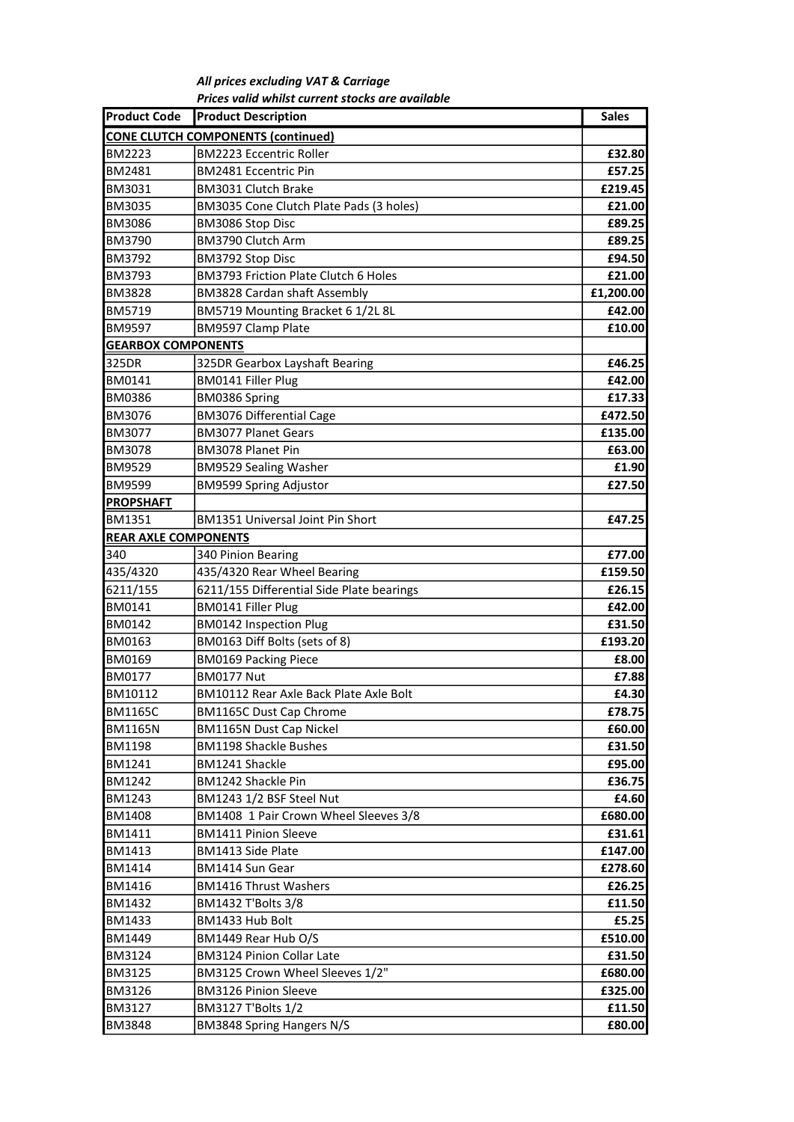All prices excluding VAT & Carriage Prices valid whilst current stocks are available

| <b>Product Code</b>         | <b>Product Description</b>                | <b>Sales</b> |
|-----------------------------|-------------------------------------------|--------------|
|                             | <b>CONE CLUTCH COMPONENTS (continued)</b> |              |
| <b>BM2223</b>               | <b>BM2223 Eccentric Roller</b>            | £32.80       |
| BM2481                      | <b>BM2481 Eccentric Pin</b>               | £57.25       |
| <b>BM3031</b>               | BM3031 Clutch Brake                       | £219.45      |
| BM3035                      | BM3035 Cone Clutch Plate Pads (3 holes)   | £21.00       |
| BM3086                      | BM3086 Stop Disc                          | £89.25       |
| <b>BM3790</b>               | BM3790 Clutch Arm                         | £89.25       |
| BM3792                      | BM3792 Stop Disc                          | £94.50       |
| BM3793                      | BM3793 Friction Plate Clutch 6 Holes      | £21.00       |
| <b>BM3828</b>               | <b>BM3828 Cardan shaft Assembly</b>       | £1,200.00    |
| BM5719                      | BM5719 Mounting Bracket 6 1/2L 8L         | £42.00       |
| BM9597                      | <b>BM9597 Clamp Plate</b>                 | £10.00       |
| <b>GEARBOX COMPONENTS</b>   |                                           |              |
| 325DR                       | 325DR Gearbox Layshaft Bearing            | £46.25       |
| <b>BM0141</b>               | <b>BM0141 Filler Plug</b>                 | £42.00       |
| <b>BM0386</b>               | BM0386 Spring                             | £17.33       |
| BM3076                      | <b>BM3076 Differential Cage</b>           | £472.50      |
| <b>BM3077</b>               | <b>BM3077 Planet Gears</b>                | £135.00      |
| <b>BM3078</b>               | <b>BM3078 Planet Pin</b>                  | £63.00       |
| <b>BM9529</b>               | <b>BM9529 Sealing Washer</b>              | £1.90        |
| <b>BM9599</b>               | <b>BM9599 Spring Adjustor</b>             | £27.50       |
| <b>PROPSHAFT</b>            |                                           |              |
| BM1351                      | <b>BM1351 Universal Joint Pin Short</b>   | £47.25       |
| <b>REAR AXLE COMPONENTS</b> |                                           |              |
| 340                         | 340 Pinion Bearing                        | £77.00       |
| 435/4320                    | 435/4320 Rear Wheel Bearing               | £159.50      |
| 6211/155                    | 6211/155 Differential Side Plate bearings | £26.15       |
| BM0141                      | <b>BM0141 Filler Plug</b>                 | £42.00       |
| <b>BM0142</b>               | <b>BM0142 Inspection Plug</b>             | £31.50       |
| <b>BM0163</b>               | BM0163 Diff Bolts (sets of 8)             | £193.20      |
| <b>BM0169</b>               | <b>BM0169 Packing Piece</b>               | £8.00        |
| BM0177                      | <b>BM0177 Nut</b>                         | £7.88        |
| BM10112                     | BM10112 Rear Axle Back Plate Axle Bolt    | £4.30        |
| <b>BM1165C</b>              | <b>BM1165C Dust Cap Chrome</b>            | £78.75       |
| <b>BM1165N</b>              | <b>BM1165N Dust Cap Nickel</b>            | £60.00       |
| <b>BM1198</b>               | <b>BM1198 Shackle Bushes</b>              | £31.50       |
| BM1241                      | BM1241 Shackle                            | £95.00       |
| BM1242                      | BM1242 Shackle Pin                        | £36.75       |
| BM1243                      | BM1243 1/2 BSF Steel Nut                  | £4.60        |
| BM1408                      | BM1408 1 Pair Crown Wheel Sleeves 3/8     | £680.00      |
| BM1411                      | <b>BM1411 Pinion Sleeve</b>               | £31.61       |
| <b>BM1413</b>               | BM1413 Side Plate                         | £147.00      |
| <b>BM1414</b>               | BM1414 Sun Gear                           | £278.60      |
| BM1416                      | <b>BM1416 Thrust Washers</b>              | £26.25       |
| BM1432                      | BM1432 T'Bolts 3/8                        | £11.50       |
| BM1433                      | BM1433 Hub Bolt                           | £5.25        |
| BM1449                      | BM1449 Rear Hub O/S                       | £510.00      |
| <b>BM3124</b>               | <b>BM3124 Pinion Collar Late</b>          | £31.50       |
| BM3125                      | BM3125 Crown Wheel Sleeves 1/2"           | £680.00      |
| BM3126                      | <b>BM3126 Pinion Sleeve</b>               | £325.00      |
| BM3127                      | BM3127 T'Bolts 1/2                        | £11.50       |
| BM3848                      | BM3848 Spring Hangers N/S                 | £80.00       |
|                             |                                           |              |